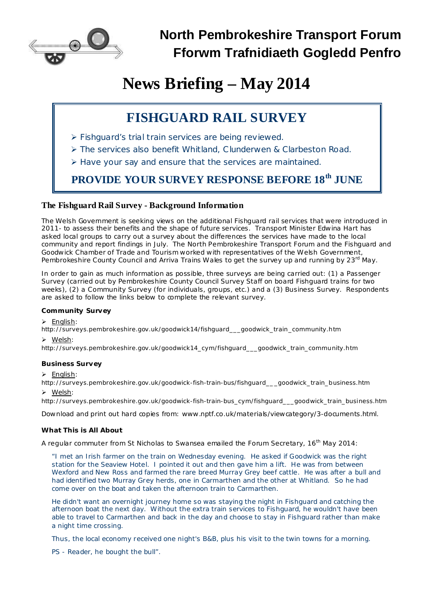

# **News Briefing – May 2014**

## **FISHGUARD RAIL SURVEY**

- Ø Fishguard's trial train services are being reviewed.
- Ø The services also benefit Whitland, Clunderwen & Clarbeston Road.
- Ø Have your say and ensure that the services are maintained.

### **PROVIDE YOUR SURVEY RESPONSE BEFORE 18 th JUNE**

#### **The Fishguard Rail Survey - Background Information**

The Welsh Government is seeking views on the additional Fishguard rail services that were introduced in 2011- to assess their benefits and the shape of future services. Transport Minister Edwina Hart has asked local groups to carry out a survey about the differences the services have made to the local community and report findings in July. The North Pembrokeshire Transport Forum and the Fishguard and Goodwick Chamber of Trade and Tourism worked with representatives of the Welsh Government, Pembrokeshire County Council and Arriva Trains Wales to get the survey up and running by 23<sup>rd</sup> May.

In order to gain as much information as possible, three surveys are being carried out: (1) a Passenger Survey (carried out by Pembrokeshire County Council Survey Staff on board Fishguard trains for two weeks), (2) a Community Survey (for individuals, groups, etc.) and a (3) Business Survey. Respondents are asked to follow the links below to complete the relevant survey.

#### *Community Survey*

**Ø** *English*:

[http://surveys.pembrokeshire.gov.uk/goodwick14/fishguard\\_\\_\\_goodwick\\_train\\_community.htm](http://surveys.pembrokeshire.gov.uk/goodwick14/fishguard___goodwick_train_community.htm)

#### **Ø** *Welsh*:

[http://surveys.pembrokeshire.gov.uk/goodwick14\\_cym/fishguard\\_\\_\\_goodwick\\_train\\_community.htm](http://surveys.pembrokeshire.gov.uk/goodwick14_cym/fishguard___goodwick_train_community.htm)

#### *Business Survey*

**Ø** *English*:

[http://surveys.pembrokeshire.gov.uk/goodwick-fish-train-bus/fishguard\\_\\_\\_goodwick\\_train\\_business.htm](http://surveys.pembrokeshire.gov.uk/goodwick-fish-train-bus/fishguard___goodwick_train_business.htm) **Ø** *Welsh*:

[http://surveys.pembrokeshire.gov.uk/goodwick-fish-train-bus\\_cym/fishguard\\_\\_\\_goodwick\\_train\\_business.htm](http://surveys.pembrokeshire.gov.uk/goodwick-fish-train-bus_cym/fishguard___goodwick_train_business.htm)

Download and print out hard copies from: [www.nptf.co.uk/materials/viewcategory/3-documents.html.](http://www.nptf.co.uk/materials/viewcategory/3-documents.html)

#### *What This is All About*

A regular commuter from St Nicholas to Swansea emailed the Forum Secretary, 16<sup>th</sup> May 2014:

*"I met an Irish farmer on the train on Wednesday evening. He asked if Goodwick was the right* station for the Seaview Hotel. I pointed it out and then gave him a lift. He was from between Wexford and New Ross and farmed the rare breed Murray Grey beef cattle. He was after a bull and *had identified two Murray Grey herds, one in Carmarthen and the other at Whitland. So he had come over on the boat and taken the afternoon train to Carmarthen.*

*He didn't want an overnight journey home so was staying the night in Fishguard and catching the afternoon boat the next day. Without the extra train services to Fishguard, he wouldn't have been* able to travel to Carmarthen and back in the day and choose to stay in Fishguard rather than make *a night time crossing.*

*Thus, the local economy received one night's B&B, plus his visit to the twin towns for a morning.*

*PS - Reader, he bought the bull".*